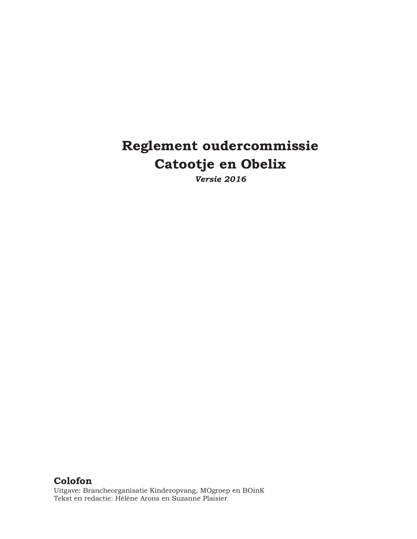# **Reglement oudercommissie Catootje en Obelix**

*Versie 2016* 

**Colofon**  Uitgave: Brancheorganisatie Kinderopvang, MOgroep en BOinK Tekst en redactie: Hélène Arons en Suzanne Plaisier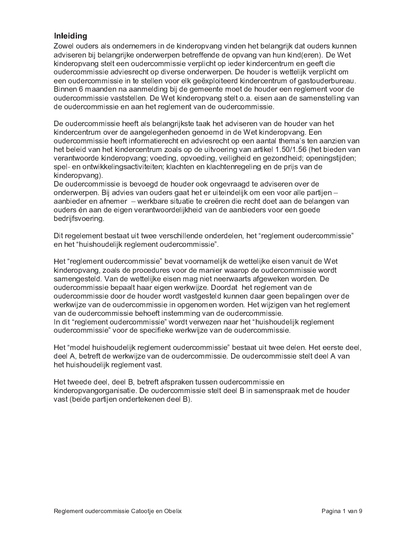# **Inleiding**

Zowel ouders als ondernemers in de kinderopvang vinden het belangrijk dat ouders kunnen adviseren bij belangrijke onderwerpen betreffende de opvang van hun kind(eren). De Wet kinderopvang stelt een oudercommissie verplicht op ieder kindercentrum en geeft die oudercommissie adviesrecht op diverse onderwerpen. De houder is wettelijk verplicht om een oudercommissie in te stellen voor elk geëxploiteerd kindercentrum of gastouderbureau. Binnen 6 maanden na aanmelding bij de gemeente moet de houder een reglement voor de oudercommissie vaststellen. De Wet kinderopvang stelt o.a. eisen aan de samenstelling van de oudercommissie en aan het reglement van de oudercommissie.

De oudercommissie heeft als belangrijkste taak het adviseren van de houder van het kindercentrum over de aangelegenheden genoemd in de Wet kinderopvang. Een oudercommissie heeft informatierecht en adviesrecht op een aantal thema's ten aanzien van het beleid van het kindercentrum zoals op de uitvoering van artikel 1.50/1.56 (het bieden van verantwoorde kinderopvang; voeding, opvoeding, veiligheid en gezondheid; openingstijden; spel- en ontwikkelingsactiviteiten; klachten en klachtenregeling en de prijs van de kinderopvang).

De oudercommissie is bevoegd de houder ook ongevraagd te adviseren over de onderwerpen. Bij advies van ouders gaat het er uiteindelijk om een voor alle partijen aanbieder en afnemer – werkbare situatie te creëren die recht doet aan de belangen van ouders én aan de eigen verantwoordelijkheid van de aanbieders voor een goede bedrijfsvoering.

Dit regelement bestaat uit twee verschillende onderdelen, het "reglement oudercommissie" en het "huishoudelijk reglement oudercommissie".

Het "reglement oudercommissie" bevat voornamelijk de wettelijke eisen vanuit de Wet kinderopvang, zoals de procedures voor de manier waarop de oudercommissie wordt samengesteld. Van de wettelijke eisen mag niet neerwaarts afgeweken worden. De oudercommissie bepaalt haar eigen werkwijze. Doordat het reglement van de oudercommissie door de houder wordt vastgesteld kunnen daar geen bepalingen over de werkwijze van de oudercommissie in opgenomen worden. Het wijzigen van het reglement van de oudercommissie behoeft instemming van de oudercommissie. In dit "reglement oudercommissie" wordt verwezen naar het "huishoudelijk reglement oudercommissie" voor de specifieke werkwijze van de oudercommissie.

Het "model huishoudelijk reglement oudercommissie" bestaat uit twee delen. Het eerste deel, deel A, betreft de werkwijze van de oudercommissie. De oudercommissie stelt deel A van het huishoudelijk reglement vast.

Het tweede deel, deel B, betreft afspraken tussen oudercommissie en kinderopvangorganisatie. De oudercommissie stelt deel B in samenspraak met de houder vast (beide partijen ondertekenen deel B).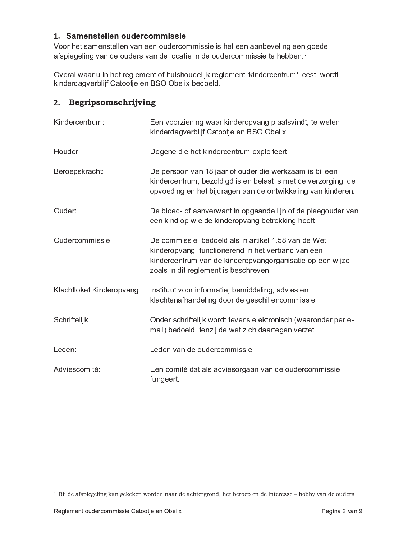# 1. Samenstellen oudercommissie

Voor het samenstellen van een oudercommissie is het een aanbeveling een goede afspiegeling van de ouders van de locatie in de oudercommissie te hebben.1

Overal waar u in het reglement of huishoudelijk reglement 'kindercentrum' leest, wordt kinderdagverblijf Catootje en BSO Obelix bedoeld.

# 2. Begripsomschrijving

| Kindercentrum:           | Een voorziening waar kinderopvang plaatsvindt, te weten<br>kinderdagverblijf Catootje en BSO Obelix.                                                                                                             |
|--------------------------|------------------------------------------------------------------------------------------------------------------------------------------------------------------------------------------------------------------|
| Houder:                  | Degene die het kindercentrum exploiteert.                                                                                                                                                                        |
| Beroepskracht:           | De persoon van 18 jaar of ouder die werkzaam is bij een<br>kindercentrum, bezoldigd is en belast is met de verzorging, de<br>opvoeding en het bijdragen aan de ontwikkeling van kinderen.                        |
| Ouder:                   | De bloed- of aanverwant in opgaande lijn of de pleegouder van<br>een kind op wie de kinderopvang betrekking heeft.                                                                                               |
| Oudercommissie:          | De commissie, bedoeld als in artikel 1.58 van de Wet<br>kinderopvang, functionerend in het verband van een<br>kindercentrum van de kinderopvangorganisatie op een wijze<br>zoals in dit reglement is beschreven. |
| Klachtloket Kinderopvang | Instituut voor informatie, bemiddeling, advies en<br>klachtenafhandeling door de geschillencommissie.                                                                                                            |
| Schriftelijk             | Onder schriftelijk wordt tevens elektronisch (waaronder per e-<br>mail) bedoeld, tenzij de wet zich daartegen verzet.                                                                                            |
| Leden:                   | Leden van de oudercommissie.                                                                                                                                                                                     |
| Adviescomité:            | Een comité dat als adviesorgaan van de oudercommissie<br>fungeert.                                                                                                                                               |

<sup>1</sup> Bij de afspiegeling kan gekeken worden naar de achtergrond, het beroep en de interesse - hobby van de ouders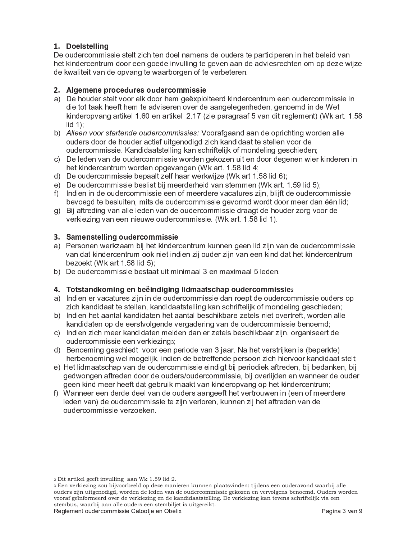## 1. Doelstelling

De oudercommissie stelt zich ten doel namens de ouders te participeren in het beleid van het kindercentrum door een goede invulling te geven aan de adviesrechten om op deze wijze de kwaliteit van de opvang te waarborgen of te verbeteren.

#### 2. Algemene procedures oudercommissie

- a) De houder stelt voor elk door hem geëxploiteerd kindercentrum een oudercommissie in die tot taak heeft hem te adviseren over de aangelegenheden, genoemd in de Wet kinderopvang artikel 1.60 en artikel 2.17 (zie paragraaf 5 van dit reglement) (Wk art. 1.58  $\mathsf{lid}$  1):
- b) Alleen voor startende oudercommissies: Voorafgaand aan de oprichting worden alle ouders door de houder actief uitgenodigd zich kandidaat te stellen voor de oudercommissie. Kandidaatstelling kan schriftelijk of mondeling geschieden:
- c) De leden van de oudercommissie worden gekozen uit en door degenen wier kinderen in het kindercentrum worden opgevangen (Wk art. 1.58 lid 4;
- d) De oudercommissie bepaalt zelf haar werkwijze (Wk art 1.58 lid 6);
- e) De oudercommissie beslist bij meerderheid van stemmen (Wk art. 1.59 lid 5);
- f) Indien in de oudercommissie een of meerdere vacatures zijn, blijft de oudercommissie bevoegd te besluiten, mits de oudercommissie gevormd wordt door meer dan één lid;
- g) Bij aftreding van alle leden van de oudercommissie draagt de houder zorg voor de verkiezing van een nieuwe oudercommissie. (Wk art. 1.58 lid 1).

#### 3. Samenstelling oudercommissie

- a) Personen werkzaam bij het kindercentrum kunnen geen lid zijn van de oudercommissie van dat kindercentrum ook niet indien zij ouder zijn van een kind dat het kindercentrum bezoekt (Wk art 1.58 lid 5);
- b) De oudercommissie bestaat uit minimaal 3 en maximaal 5 leden.

#### 4. Totstandkoming en beëindiging lidmaatschap oudercommissiez

- a) Indien er vacatures zijn in de oudercommissie dan roept de oudercommissie ouders op zich kandidaat te stellen, kandidaatstelling kan schriftelijk of mondeling geschieden;
- b) Indien het aantal kandidaten het aantal beschikbare zetels niet overtreft, worden alle kandidaten op de eerstvolgende vergadering van de oudercommissie benoemd;
- c) Indien zich meer kandidaten melden dan er zetels beschikbaar zijn, organiseert de oudercommissie een verkiezings;
- d) Benoeming geschiedt voor een periode van 3 jaar. Na het verstrijken is (beperkte) herbenoeming wel mogelijk, indien de betreffende persoon zich hiervoor kandidaat stelt;
- e) Het lidmaatschap van de oudercommissie eindigt bij periodiek aftreden, bij bedanken, bij gedwongen aftreden door de ouders/oudercommissie, bij overlijden en wanneer de ouder geen kind meer heeft dat gebruik maakt van kinderopvang op het kindercentrum;
- f) Wanneer een derde deel van de ouders aangeeft het vertrouwen in (een of meerdere leden van) de oudercommissie te zijn verloren, kunnen zij het aftreden van de oudercommissie verzoeken.

<sup>&</sup>lt;sup>2</sup> Dit artikel geeft invulling aan Wk 1.59 lid 2.

<sup>3</sup> Een verkiezing zou bijvoorbeeld op deze manieren kunnen plaatsvinden: tijdens een ouderavond waarbij alle ouders zijn uitgenodigd, worden de leden van de oudercommissie gekozen en vervolgens benoemd. Ouders worden vooraf geïnformeerd over de verkiezing en de kandidaatstelling. De verkiezing kan tevens schriftelijk via een stembus, waarbij aan alle ouders een stembiljet is uitgereikt.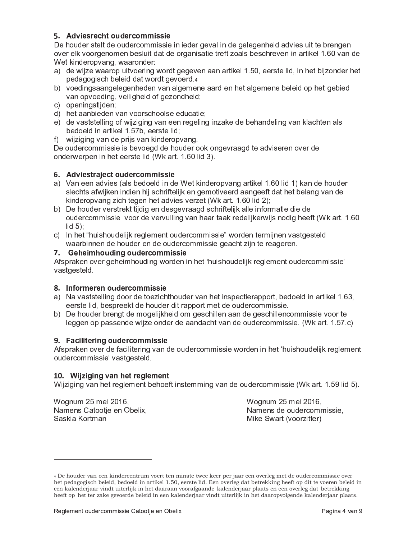### 5. Adviesrecht oudercommissie

De houder stelt de oudercommissie in ieder geval in de gelegenheid advies uit te brengen over elk voorgenomen besluit dat de organisatie treft zoals beschreven in artikel 1.60 van de Wet kinderopvang, waaronder:

- a) de wijze waarop uitvoering wordt gegeven aan artikel 1.50, eerste lid, in het bijzonder het pedagogisch beleid dat wordt gevoerd.4
- b) voedingsaangelegenheden van algemene aard en het algemene beleid op het gebied van opvoeding, veiligheid of gezondheid;
- c) openingstijden;
- d) het aanbieden van voorschoolse educatie;
- e) de vaststelling of wijziging van een regeling inzake de behandeling van klachten als bedoeld in artikel 1.57b, eerste lid;
- f) wijziging van de prijs van kinderopvang.

De oudercommissie is bevoegd de houder ook ongevraagd te adviseren over de onderwerpen in het eerste lid (Wk art. 1.60 lid 3).

#### 6. Adviestraject oudercommissie

- a) Van een advies (als bedoeld in de Wet kinderopvang artikel 1.60 lid 1) kan de houder slechts afwijken indien hij schriftelijk en gemotiveerd aangeeft dat het belang van de kinderopvang zich tegen het advies verzet (Wk art. 1.60 lid 2);
- b) De houder verstrekt tijdig en desgevraagd schriftelijk alle informatie die de oudercommissie voor de vervulling van haar taak redelijkerwijs nodig heeft (Wk art. 1.60  $lid 5$ :
- c) In het "huishoudelijk reglement oudercommissie" worden termijnen vastgesteld waarbinnen de houder en de oudercommissie geacht zijn te reageren.

#### 7. Geheimhouding oudercommissie

Afspraken over geheimhouding worden in het 'huishoudelijk reglement oudercommissie' vastgesteld.

#### 8. Informeren oudercommissie

- a) Na vaststelling door de toezichthouder van het inspectierapport, bedoeld in artikel 1.63, eerste lid, bespreekt de houder dit rapport met de oudercommissie.
- b) De houder brengt de mogelijkheid om geschillen aan de geschillencommissie voor te leggen op passende wijze onder de aandacht van de oudercommissie. (Wk art. 1.57.c)

#### 9. Facilitering oudercommissie

Afspraken over de facilitering van de oudercommissie worden in het 'huishoudelijk reglement oudercommissie' vastgesteld.

#### 10. Wijziging van het reglement

Wijziging van het reglement behoeft instemming van de oudercommissie (Wk art. 1.59 lid 5).

Wognum 25 mei 2016, Namens Catootje en Obelix, Saskia Kortman

Wognum 25 mei 2016, Namens de oudercommissie, Mike Swart (voorzitter)

<sup>4</sup> De houder van een kindercentrum voert ten minste twee keer per jaar een overleg met de oudercommissie over het pedagogisch beleid, bedoeld in artikel 1.50, eerste lid. Een overleg dat betrekking heeft op dit te voeren beleid in een kalenderjaar vindt uiterlijk in het daaraan voorafgaande kalenderjaar plaats en een overleg dat betrekking heeft op het ter zake gevoerde beleid in een kalenderjaar vindt uiterlijk in het daaropvolgende kalenderjaar plaats.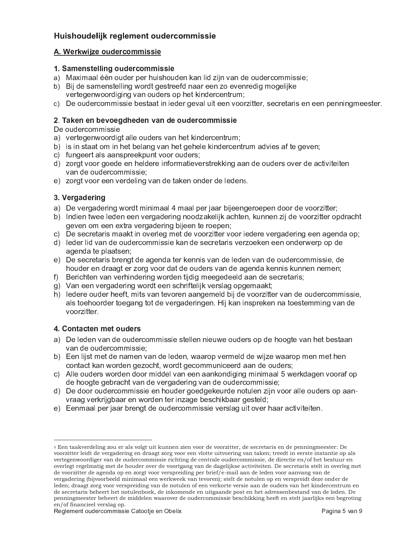# Huishoudelijk reglement oudercommissie

#### A. Werkwijze oudercommissie

#### 1. Samenstelling oudercommissie

- a) Maximaal één ouder per huishouden kan lid zijn van de oudercommissie;
- b) Bij de samenstelling wordt gestreefd naar een zo evenredig mogelijke vertegenwoordiging van ouders op het kindercentrum;
- c) De oudercommissie bestaat in ieder geval uit een voorzitter, secretaris en een penningmeester.

## 2. Taken en bevoegdheden van de oudercommissie

De oudercommissie

- a) vertegenwoordigt alle ouders van het kindercentrum;
- b) is in staat om in het belang van het gehele kindercentrum advies af te geven;
- c) fungeert als aanspreekpunt voor ouders;
- d) zorgt voor goede en heldere informatieverstrekking aan de ouders over de activiteiten van de oudercommissie;
- e) zorgt voor een verdeling van de taken onder de ledens.

## 3. Vergadering

- a) De vergadering wordt minimaal 4 maal per jaar bijeengeroepen door de voorzitter;
- b) Indien twee leden een vergadering noodzakelijk achten, kunnen zij de voorzitter opdracht geven om een extra vergadering bijeen te roepen;
- c) De secretaris maakt in overleg met de voorzitter voor iedere vergadering een agenda op;
- d) leder lid van de oudercommissie kan de secretaris verzoeken een onderwerp op de agenda te plaatsen;
- e) De secretaris brengt de agenda ter kennis van de leden van de oudercommissie, de houder en draagt er zorg voor dat de ouders van de agenda kennis kunnen nemen;
- f) Berichten van verhindering worden tijdig meegedeeld aan de secretaris;
- g) Van een vergadering wordt een schriftelijk verslag opgemaakt;
- h) ledere ouder heeft, mits van tevoren aangemeld bij de voorzitter van de oudercommissie, als toehoorder toegang tot de vergaderingen. Hij kan inspreken na toestemming van de voorzitter.

#### 4. Contacten met ouders

- a) De leden van de oudercommissie stellen nieuwe ouders op de hoogte van het bestaan van de oudercommissie;
- b) Een lijst met de namen van de leden, waarop vermeld de wijze waarop men met hen contact kan worden gezocht, wordt gecommuniceerd aan de ouders;
- c) Alle ouders worden door middel van een aankondiging minimaal 5 werkdagen vooraf op de hoogte gebracht van de vergadering van de oudercommissie;
- d) De door oudercommissie en houder goedgekeurde notulen zijn voor alle ouders op aanvraag verkrijgbaar en worden ter inzage beschikbaar gesteld;
- e) Eenmaal per jaar brengt de oudercommissie verslag uit over haar activiteiten.

<sup>5</sup> Een taakverdeling zou er als volgt uit kunnen zien voor de voorzitter, de secretaris en de penningmeester: De voorzitter leidt de vergadering en draagt zorg voor een vlotte uitvoering van taken; treedt in eerste instantie op als vertegenwoordiger van de oudercommissie richting de centrale oudercommissie, de directie en/of het bestuur en overlegt regelmatig met de houder over de voortgang van de dagelijkse activiteiten. De secretaris stelt in overleg met de voorzitter de agenda op en zorgt voor verspreiding per brief/e-mail aan de leden voor aanvang van de vergadering (bijvoorbeeld minimaal een werkweek van tevoren); stelt de notulen op en verspreidt deze onder de leden; draagt zorg voor verspreiding van de notulen of een verkorte versie aan de ouders van het kindercentrum en de secretaris beheert het notulenboek, de inkomende en uitgaande post en het adressenbestand van de leden. De penningmeester beheert de middelen waarover de oudercommissie beschikking heeft en stelt jaarlijks een begroting en/of financieel verslag op.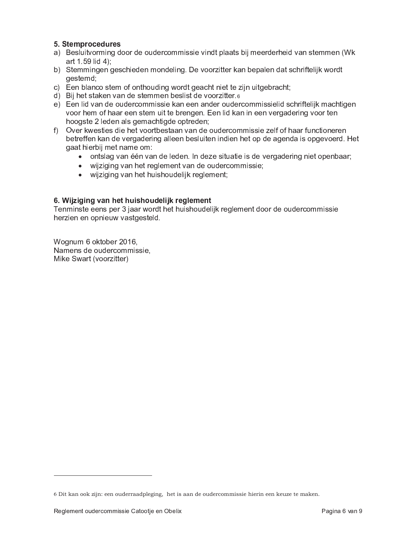### 5. Stemprocedures

- a) Besluitvorming door de oudercommissie vindt plaats bij meerderheid van stemmen (Wk art 1.59 lid 4):
- b) Stemmingen geschieden mondeling. De voorzitter kan bepalen dat schriftelijk wordt gestemd;
- c) Een blanco stem of onthouding wordt geacht niet te zijn uitgebracht;
- d) Bij het staken van de stemmen beslist de voorzitter.6
- e) Een lid van de oudercommissie kan een ander oudercommissielid schriftelijk machtigen voor hem of haar een stem uit te brengen. Een lid kan in een vergadering voor ten hoogste 2 leden als gemachtigde optreden;
- f) Over kwesties die het voortbestaan van de oudercommissie zelf of haar functioneren betreffen kan de vergadering alleen besluiten indien het op de agenda is opgevoerd. Het gaat hierbij met name om:
	- · ontslag van één van de leden. In deze situatie is de vergadering niet openbaar;
	- wijziging van het reglement van de oudercommissie;
	- wijziging van het huishoudelijk reglement;

#### 6. Wijziging van het huishoudelijk reglement

Tenminste eens per 3 jaar wordt het huishoudelijk reglement door de oudercommissie herzien en opnieuw vastgesteld.

Wognum 6 oktober 2016, Namens de oudercommissie, Mike Swart (voorzitter)

<sup>6</sup> Dit kan ook zijn: een ouderraadpleging, het is aan de oudercommissie hierin een keuze te maken.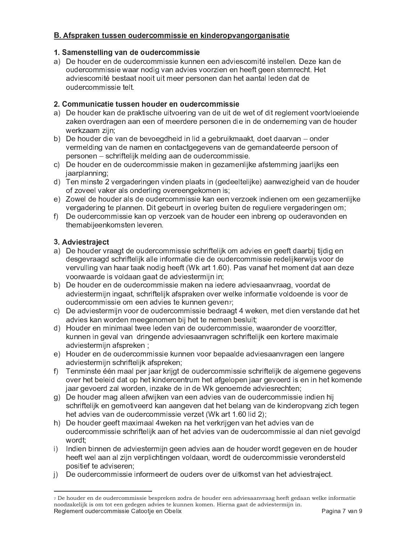# B. Afspraken tussen oudercommissie en kinderopvangorganisatie

## 1. Samenstelling van de oudercommissie

a) De houder en de oudercommissie kunnen een adviescomité instellen. Deze kan de oudercommissie waar nodig van advies voorzien en heeft geen stemrecht. Het adviescomité bestaat nooit uit meer personen dan het aantal leden dat de oudercommissie telt.

## 2. Communicatie tussen houder en oudercommissie

- a) De houder kan de praktische uitvoering van de uit de wet of dit reglement voortvloeiende zaken overdragen aan een of meerdere personen die in de onderneming van de houder werkzaam zijn;
- b) De houder die van de bevoegdheid in lid a gebruikmaakt, doet daarvan onder vermelding van de namen en contactgegevens van de gemandateerde persoon of personen – schriftelijk melding aan de oudercommissie.
- c) De houder en de oudercommissie maken in gezamenlijke afstemming jaarlijks een jaarplanning;
- d) Ten minste 2 vergaderingen vinden plaats in (gedeeltelijke) aanwezigheid van de houder of zoveel vaker als onderling overeengekomen is;
- e) Zowel de houder als de oudercommissie kan een verzoek indienen om een gezamenlijke vergadering te plannen. Dit gebeurt in overleg buiten de reguliere vergaderingen om;
- f) De oudercommissie kan op verzoek van de houder een inbreng op ouderavonden en themabijeenkomsten leveren.

## 3. Adviestraject

- a) De houder vraagt de oudercommissie schriftelijk om advies en geeft daarbij tijdig en desgevraagd schriftelijk alle informatie die de oudercommissie redelijkerwijs voor de vervulling van haar taak nodig heeft (Wk art 1.60). Pas vanaf het moment dat aan deze voorwaarde is voldaan gaat de adviestermijn in;
- b) De houder en de oudercommissie maken na jedere adviesaanvraag, voordat de adviestermijn ingaat, schriftelijk afspraken over welke informatie voldoende is voor de oudercommissie om een advies te kunnen geven7;
- c) De adviestermijn voor de oudercommissie bedraagt 4 weken, met dien verstande dat het advies kan worden meegenomen bij het te nemen besluit;
- d) Houder en minimaal twee leden van de oudercommissie, waaronder de voorzitter, kunnen in geval van dringende adviesaanvragen schriftelijk een kortere maximale adviestermijn afspreken;
- e) Houder en de oudercommissie kunnen voor bepaalde adviesaanvragen een langere adviestermijn schriftelijk afspreken;
- f) Tenminste één maal per jaar krijgt de oudercommissie schriftelijk de algemene gegevens over het beleid dat op het kindercentrum het afgelopen jaar gevoerd is en in het komende jaar gevoerd zal worden, inzake de in de Wk genoemde adviesrechten;
- g) De houder mag alleen afwijken van een advies van de oudercommissie indien hij schriftelijk en gemotiveerd kan aangeven dat het belang van de kinderopvang zich tegen het advies van de oudercommissie verzet (Wk art 1.60 lid 2);
- h) De houder geeft maximaal 4weken na het verkrijgen van het advies van de oudercommissie schriftelijk aan of het advies van de oudercommissie al dan niet gevolgd wordt:
- $\mathsf{i}$ ) Indien binnen de adviestermijn geen advies aan de houder wordt gegeven en de houder heeft wel aan al zijn verplichtingen voldaan, wordt de oudercommissie verondersteld positief te adviseren;
- i) De oudercommissie informeert de ouders over de uitkomst van het adviestraject.

<sup>7</sup> De houder en de oudercommissie bespreken zodra de houder een adviesaanvraag heeft gedaan welke informatie noodzakelijk is om tot een gedegen advies te kunnen komen. Hierna gaat de adviestermijn in. Reglement oudercommissie Catootje en Obelix Pagina 7 van 9